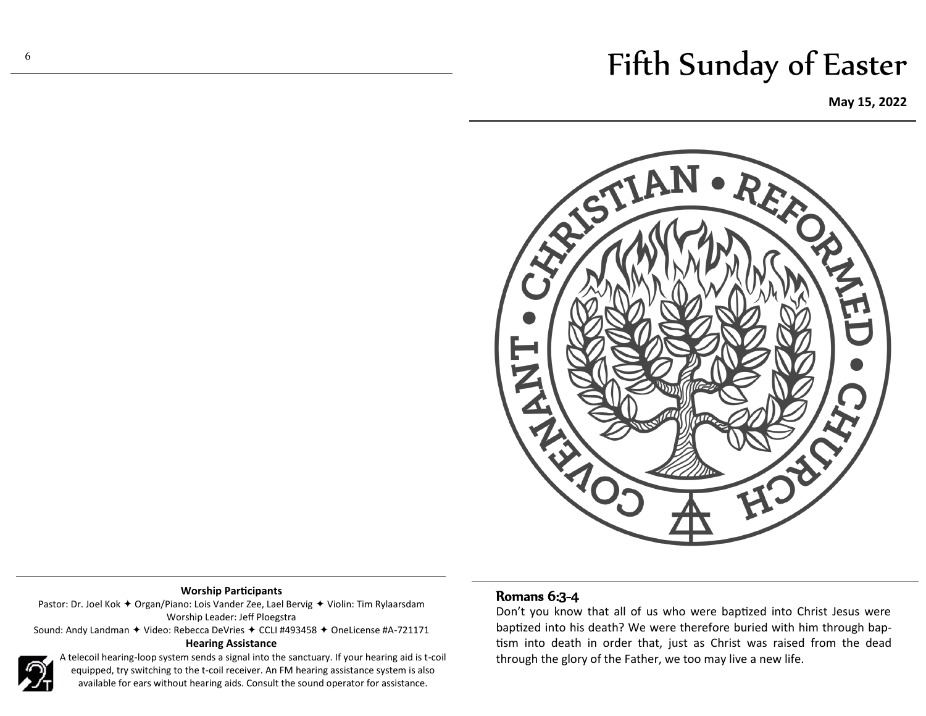# Fifth Sunday of Easter

**May 15, 2022**



### **Worship Participants**

Pastor: Dr. Joel Kok  $\triangleq$  Organ/Piano: Lois Vander Zee, Lael Bervig  $\triangleq$  Violin: Tim Rylaarsdam Worship Leader: Jeff Ploegstra

Sound: Andy Landman  $\triangleq$  Video: Rebecca DeVries  $\triangleq$  CCLI #493458  $\triangleq$  OneLicense #A-721171 **Hearing Assistance**



A telecoil hearing-loop system sends a signal into the sanctuary. If your hearing aid is t-coil equipped, try switching to the t-coil receiver. An FM hearing assistance system is also available for ears without hearing aids. Consult the sound operator for assistance.

# Romans 6:3-4

Don't you know that all of us who were baptized into Christ Jesus were baptized into his death? We were therefore buried with him through baptism into death in order that, just as Christ was raised from the dead through the glory of the Father, we too may live a new life.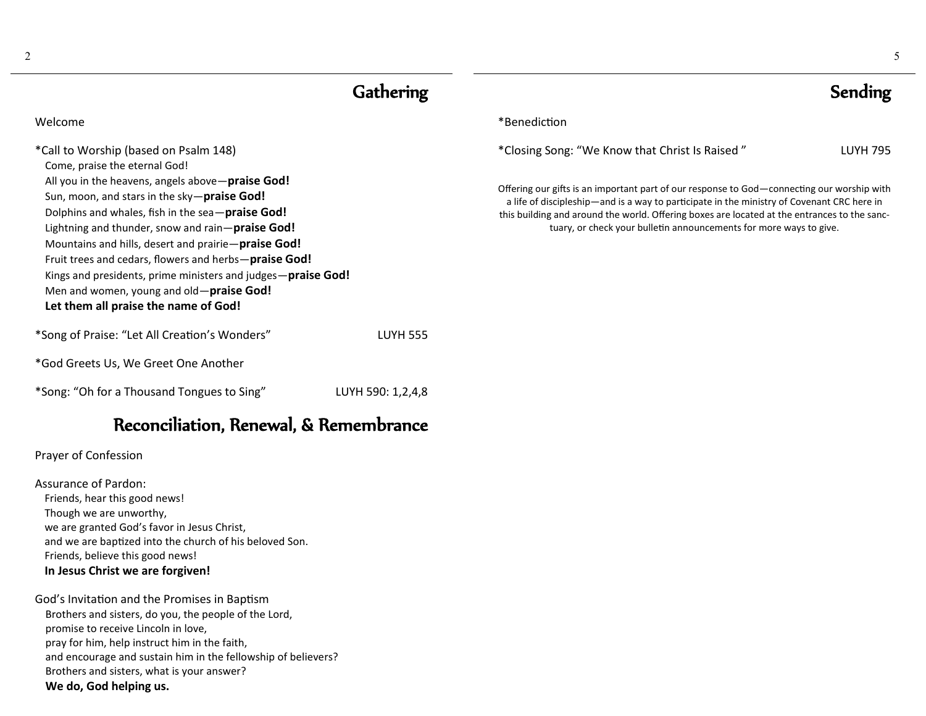2

| Gathering                                                                                                                                                                                                                                                                                                                                                                                                                                                                   |                   | <b>Sending</b>                                                                                                                                                                                                                                                                                                                                                   |                 |
|-----------------------------------------------------------------------------------------------------------------------------------------------------------------------------------------------------------------------------------------------------------------------------------------------------------------------------------------------------------------------------------------------------------------------------------------------------------------------------|-------------------|------------------------------------------------------------------------------------------------------------------------------------------------------------------------------------------------------------------------------------------------------------------------------------------------------------------------------------------------------------------|-----------------|
| Welcome                                                                                                                                                                                                                                                                                                                                                                                                                                                                     |                   | *Benediction                                                                                                                                                                                                                                                                                                                                                     |                 |
| *Call to Worship (based on Psalm 148)<br>Come, praise the eternal God!                                                                                                                                                                                                                                                                                                                                                                                                      |                   | *Closing Song: "We Know that Christ Is Raised"                                                                                                                                                                                                                                                                                                                   | <b>LUYH 795</b> |
| All you in the heavens, angels above-praise God!<br>Sun, moon, and stars in the sky-praise God!<br>Dolphins and whales, fish in the sea-praise God!<br>Lightning and thunder, snow and rain-praise God!<br>Mountains and hills, desert and prairie-praise God!<br>Fruit trees and cedars, flowers and herbs-praise God!<br>Kings and presidents, prime ministers and judges-praise God!<br>Men and women, young and old-praise God!<br>Let them all praise the name of God! |                   | Offering our gifts is an important part of our response to God - connecting our worship with<br>a life of discipleship—and is a way to participate in the ministry of Covenant CRC here in<br>this building and around the world. Offering boxes are located at the entrances to the sanc-<br>tuary, or check your bulletin announcements for more ways to give. |                 |
| *Song of Praise: "Let All Creation's Wonders"                                                                                                                                                                                                                                                                                                                                                                                                                               | <b>LUYH 555</b>   |                                                                                                                                                                                                                                                                                                                                                                  |                 |
| *God Greets Us, We Greet One Another                                                                                                                                                                                                                                                                                                                                                                                                                                        |                   |                                                                                                                                                                                                                                                                                                                                                                  |                 |
| *Song: "Oh for a Thousand Tongues to Sing"                                                                                                                                                                                                                                                                                                                                                                                                                                  | LUYH 590: 1,2,4,8 |                                                                                                                                                                                                                                                                                                                                                                  |                 |

# Reconciliation, Renewal, & Remembrance

## Prayer of Confession

Assurance of Pardon: Friends, hear this good news! Though we are unworthy, we are granted God's favor in Jesus Christ, and we are baptized into the church of his beloved Son. Friends, believe this good news! **In Jesus Christ we are forgiven!**

God's Invitation and the Promises in Baptism Brothers and sisters, do you, the people of the Lord, promise to receive Lincoln in love, pray for him, help instruct him in the faith, and encourage and sustain him in the fellowship of believers? Brothers and sisters, what is your answer? **We do, God helping us.**